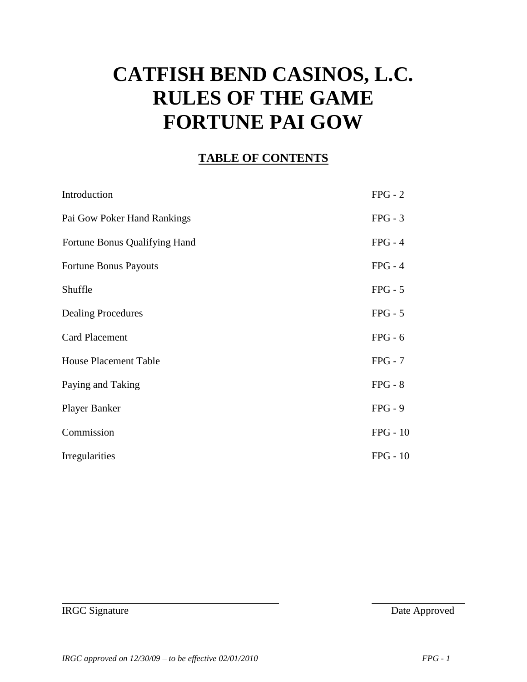# **CATFISH BEND CASINOS, L.C. RULES OF THE GAME FORTUNE PAI GOW**

#### **TABLE OF CONTENTS**

| Introduction                  | $FPG - 2$  |
|-------------------------------|------------|
| Pai Gow Poker Hand Rankings   | $FPG - 3$  |
| Fortune Bonus Qualifying Hand | $FPG - 4$  |
| Fortune Bonus Payouts         | $FPG - 4$  |
| Shuffle                       | $FPG - 5$  |
| <b>Dealing Procedures</b>     | $FPG - 5$  |
| <b>Card Placement</b>         | $FPG - 6$  |
| <b>House Placement Table</b>  | $FPG - 7$  |
| Paying and Taking             | $FPG - 8$  |
| <b>Player Banker</b>          | $FPG - 9$  |
| Commission                    | $FPG - 10$ |
| Irregularities                | $FPG - 10$ |

IRGC Signature Date Approved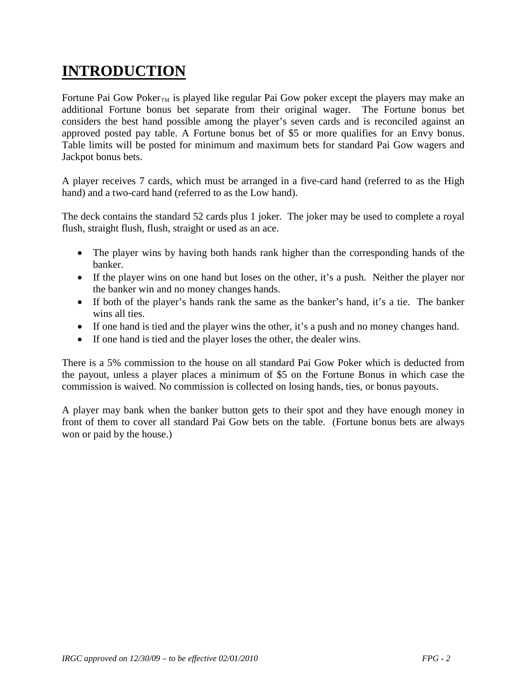## **INTRODUCTION**

Fortune Pai Gow Poker<sub>TM</sub> is played like regular Pai Gow poker except the players may make an additional Fortune bonus bet separate from their original wager. The Fortune bonus bet considers the best hand possible among the player's seven cards and is reconciled against an approved posted pay table. A Fortune bonus bet of \$5 or more qualifies for an Envy bonus. Table limits will be posted for minimum and maximum bets for standard Pai Gow wagers and Jackpot bonus bets.

A player receives 7 cards, which must be arranged in a five-card hand (referred to as the High hand) and a two-card hand (referred to as the Low hand).

The deck contains the standard 52 cards plus 1 joker. The joker may be used to complete a royal flush, straight flush, flush, straight or used as an ace.

- The player wins by having both hands rank higher than the corresponding hands of the banker.
- If the player wins on one hand but loses on the other, it's a push. Neither the player nor the banker win and no money changes hands.
- If both of the player's hands rank the same as the banker's hand, it's a tie. The banker wins all ties.
- If one hand is tied and the player wins the other, it's a push and no money changes hand.
- If one hand is tied and the player loses the other, the dealer wins.

There is a 5% commission to the house on all standard Pai Gow Poker which is deducted from the payout, unless a player places a minimum of \$5 on the Fortune Bonus in which case the commission is waived. No commission is collected on losing hands, ties, or bonus payouts.

A player may bank when the banker button gets to their spot and they have enough money in front of them to cover all standard Pai Gow bets on the table. (Fortune bonus bets are always won or paid by the house.)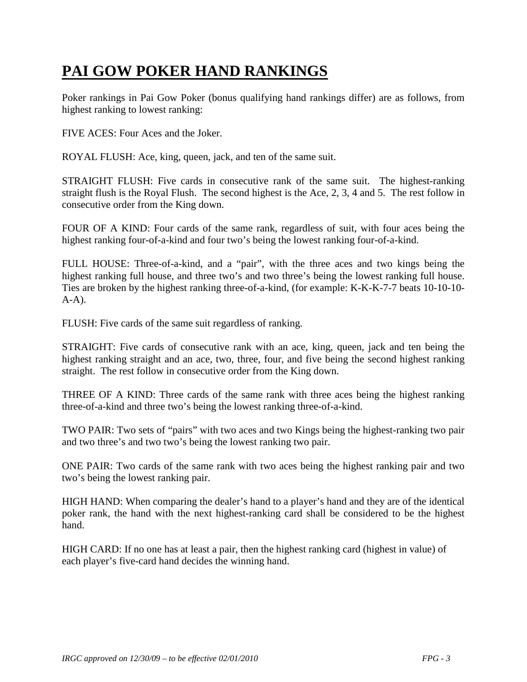## **PAI GOW POKER HAND RANKINGS**

Poker rankings in Pai Gow Poker (bonus qualifying hand rankings differ) are as follows, from highest ranking to lowest ranking:

FIVE ACES: Four Aces and the Joker.

ROYAL FLUSH: Ace, king, queen, jack, and ten of the same suit.

STRAIGHT FLUSH: Five cards in consecutive rank of the same suit. The highest-ranking straight flush is the Royal Flush. The second highest is the Ace, 2, 3, 4 and 5. The rest follow in consecutive order from the King down.

FOUR OF A KIND: Four cards of the same rank, regardless of suit, with four aces being the highest ranking four-of-a-kind and four two's being the lowest ranking four-of-a-kind.

FULL HOUSE: Three-of-a-kind, and a "pair", with the three aces and two kings being the highest ranking full house, and three two's and two three's being the lowest ranking full house. Ties are broken by the highest ranking three-of-a-kind, (for example: K-K-K-7-7 beats 10-10-10-  $A-A$ ).

FLUSH: Five cards of the same suit regardless of ranking.

STRAIGHT: Five cards of consecutive rank with an ace, king, queen, jack and ten being the highest ranking straight and an ace, two, three, four, and five being the second highest ranking straight. The rest follow in consecutive order from the King down.

THREE OF A KIND: Three cards of the same rank with three aces being the highest ranking three-of-a-kind and three two's being the lowest ranking three-of-a-kind.

TWO PAIR: Two sets of "pairs" with two aces and two Kings being the highest-ranking two pair and two three's and two two's being the lowest ranking two pair.

ONE PAIR: Two cards of the same rank with two aces being the highest ranking pair and two two's being the lowest ranking pair.

HIGH HAND: When comparing the dealer's hand to a player's hand and they are of the identical poker rank, the hand with the next highest-ranking card shall be considered to be the highest hand.

HIGH CARD: If no one has at least a pair, then the highest ranking card (highest in value) of each player's five-card hand decides the winning hand.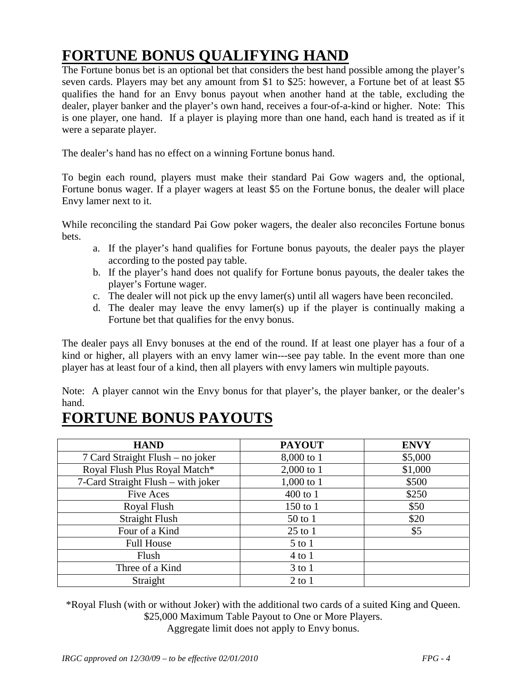## **FORTUNE BONUS QUALIFYING HAND**

The Fortune bonus bet is an optional bet that considers the best hand possible among the player's seven cards. Players may bet any amount from \$1 to \$25: however, a Fortune bet of at least \$5 qualifies the hand for an Envy bonus payout when another hand at the table, excluding the dealer, player banker and the player's own hand, receives a four-of-a-kind or higher. Note: This is one player, one hand. If a player is playing more than one hand, each hand is treated as if it were a separate player.

The dealer's hand has no effect on a winning Fortune bonus hand.

To begin each round, players must make their standard Pai Gow wagers and, the optional, Fortune bonus wager. If a player wagers at least \$5 on the Fortune bonus, the dealer will place Envy lamer next to it.

While reconciling the standard Pai Gow poker wagers, the dealer also reconciles Fortune bonus bets.

- a. If the player's hand qualifies for Fortune bonus payouts, the dealer pays the player according to the posted pay table.
- b. If the player's hand does not qualify for Fortune bonus payouts, the dealer takes the player's Fortune wager.
- c. The dealer will not pick up the envy lamer(s) until all wagers have been reconciled.
- d. The dealer may leave the envy lamer(s) up if the player is continually making a Fortune bet that qualifies for the envy bonus.

The dealer pays all Envy bonuses at the end of the round. If at least one player has a four of a kind or higher, all players with an envy lamer win---see pay table. In the event more than one player has at least four of a kind, then all players with envy lamers win multiple payouts.

Note: A player cannot win the Envy bonus for that player's, the player banker, or the dealer's hand.

#### **FORTUNE BONUS PAYOUTS**

| <b>HAND</b>                        | <b>PAYOUT</b> | <b>ENVY</b> |
|------------------------------------|---------------|-------------|
| 7 Card Straight Flush – no joker   | 8,000 to 1    | \$5,000     |
| Royal Flush Plus Royal Match*      | $2,000$ to 1  | \$1,000     |
| 7-Card Straight Flush - with joker | $1,000$ to 1  | \$500       |
| <b>Five Aces</b>                   | 400 to 1      | \$250       |
| Royal Flush                        | 150 to 1      | \$50        |
| <b>Straight Flush</b>              | 50 to 1       | \$20        |
| Four of a Kind                     | $25$ to 1     | \$5         |
| <b>Full House</b>                  | $5$ to $1$    |             |
| Flush                              | $4$ to $1$    |             |
| Three of a Kind                    | $3$ to $1$    |             |
| Straight                           | $2$ to $1$    |             |

\*Royal Flush (with or without Joker) with the additional two cards of a suited King and Queen. \$25,000 Maximum Table Payout to One or More Players.

Aggregate limit does not apply to Envy bonus.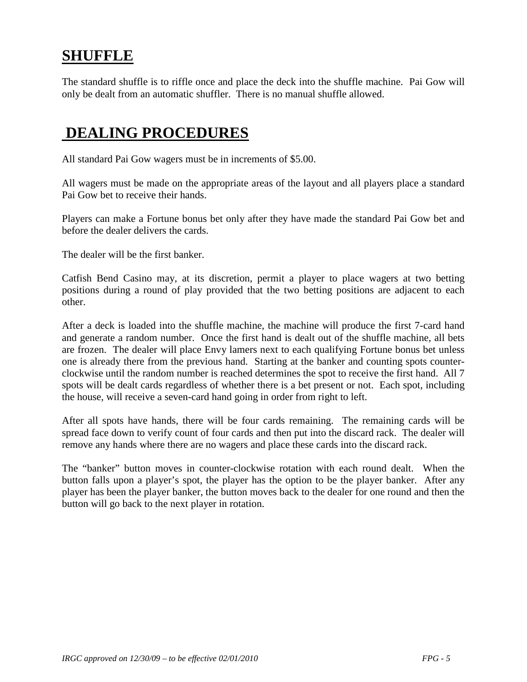#### **SHUFFLE**

The standard shuffle is to riffle once and place the deck into the shuffle machine. Pai Gow will only be dealt from an automatic shuffler. There is no manual shuffle allowed.

#### **DEALING PROCEDURES**

All standard Pai Gow wagers must be in increments of \$5.00.

All wagers must be made on the appropriate areas of the layout and all players place a standard Pai Gow bet to receive their hands.

Players can make a Fortune bonus bet only after they have made the standard Pai Gow bet and before the dealer delivers the cards.

The dealer will be the first banker.

Catfish Bend Casino may, at its discretion, permit a player to place wagers at two betting positions during a round of play provided that the two betting positions are adjacent to each other.

After a deck is loaded into the shuffle machine, the machine will produce the first 7-card hand and generate a random number. Once the first hand is dealt out of the shuffle machine, all bets are frozen. The dealer will place Envy lamers next to each qualifying Fortune bonus bet unless one is already there from the previous hand. Starting at the banker and counting spots counterclockwise until the random number is reached determines the spot to receive the first hand. All 7 spots will be dealt cards regardless of whether there is a bet present or not. Each spot, including the house, will receive a seven-card hand going in order from right to left.

After all spots have hands, there will be four cards remaining. The remaining cards will be spread face down to verify count of four cards and then put into the discard rack. The dealer will remove any hands where there are no wagers and place these cards into the discard rack.

The "banker" button moves in counter-clockwise rotation with each round dealt. When the button falls upon a player's spot, the player has the option to be the player banker. After any player has been the player banker, the button moves back to the dealer for one round and then the button will go back to the next player in rotation.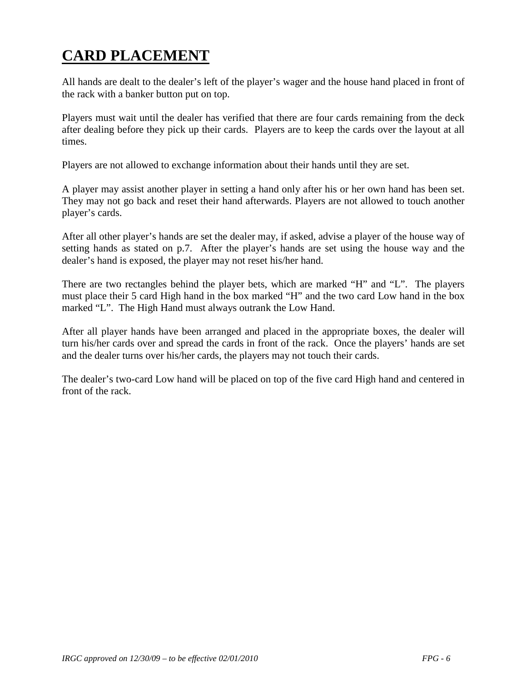## **CARD PLACEMENT**

All hands are dealt to the dealer's left of the player's wager and the house hand placed in front of the rack with a banker button put on top.

Players must wait until the dealer has verified that there are four cards remaining from the deck after dealing before they pick up their cards. Players are to keep the cards over the layout at all times.

Players are not allowed to exchange information about their hands until they are set.

A player may assist another player in setting a hand only after his or her own hand has been set. They may not go back and reset their hand afterwards. Players are not allowed to touch another player's cards.

After all other player's hands are set the dealer may, if asked, advise a player of the house way of setting hands as stated on p.7. After the player's hands are set using the house way and the dealer's hand is exposed, the player may not reset his/her hand.

There are two rectangles behind the player bets, which are marked "H" and "L". The players must place their 5 card High hand in the box marked "H" and the two card Low hand in the box marked "L". The High Hand must always outrank the Low Hand.

After all player hands have been arranged and placed in the appropriate boxes, the dealer will turn his/her cards over and spread the cards in front of the rack. Once the players' hands are set and the dealer turns over his/her cards, the players may not touch their cards.

The dealer's two-card Low hand will be placed on top of the five card High hand and centered in front of the rack.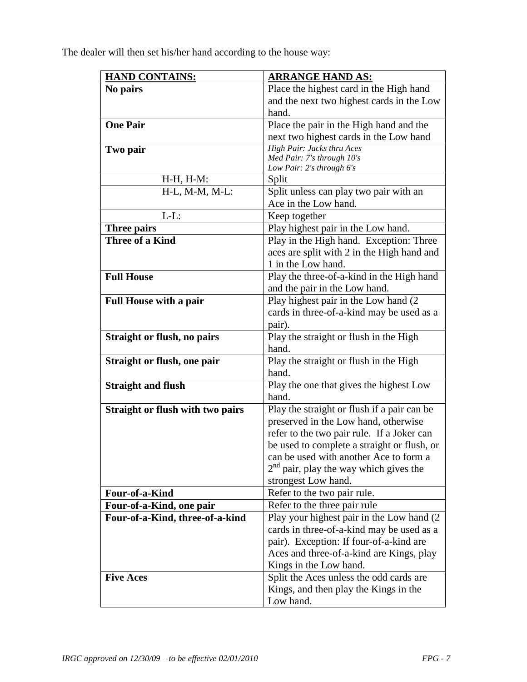The dealer will then set his/her hand according to the house way:

| <b>HAND CONTAINS:</b>                   | <b>ARRANGE HAND AS:</b>                     |  |
|-----------------------------------------|---------------------------------------------|--|
| No pairs                                | Place the highest card in the High hand     |  |
|                                         | and the next two highest cards in the Low   |  |
|                                         | hand.                                       |  |
| <b>One Pair</b>                         | Place the pair in the High hand and the     |  |
|                                         | next two highest cards in the Low hand      |  |
| Two pair                                | High Pair: Jacks thru Aces                  |  |
|                                         | Med Pair: 7's through 10's                  |  |
|                                         | Low Pair: 2's through 6's                   |  |
| $H-H, H-M$ :                            | Split                                       |  |
| $H-L$ , M-M, M-L:                       | Split unless can play two pair with an      |  |
|                                         | Ace in the Low hand.                        |  |
| $L-L$ :                                 | Keep together                               |  |
| Three pairs                             | Play highest pair in the Low hand.          |  |
| Three of a Kind                         | Play in the High hand. Exception: Three     |  |
|                                         | aces are split with 2 in the High hand and  |  |
|                                         | 1 in the Low hand.                          |  |
| <b>Full House</b>                       | Play the three-of-a-kind in the High hand   |  |
|                                         | and the pair in the Low hand.               |  |
| <b>Full House with a pair</b>           | Play highest pair in the Low hand (2        |  |
|                                         | cards in three-of-a-kind may be used as a   |  |
|                                         | pair).                                      |  |
| Straight or flush, no pairs             | Play the straight or flush in the High      |  |
|                                         | hand.                                       |  |
| Straight or flush, one pair             | Play the straight or flush in the High      |  |
|                                         | hand.                                       |  |
| <b>Straight and flush</b>               | Play the one that gives the highest Low     |  |
|                                         | hand.                                       |  |
| <b>Straight or flush with two pairs</b> | Play the straight or flush if a pair can be |  |
|                                         | preserved in the Low hand, otherwise        |  |
|                                         | refer to the two pair rule. If a Joker can  |  |
|                                         | be used to complete a straight or flush, or |  |
|                                         | can be used with another Ace to form a      |  |
|                                         | $2nd$ pair, play the way which gives the    |  |
|                                         | strongest Low hand.                         |  |
| Four-of-a-Kind                          | Refer to the two pair rule.                 |  |
| Four-of-a-Kind, one pair                | Refer to the three pair rule                |  |
| Four-of-a-Kind, three-of-a-kind         | Play your highest pair in the Low hand (2)  |  |
|                                         | cards in three-of-a-kind may be used as a   |  |
|                                         | pair). Exception: If four-of-a-kind are     |  |
|                                         | Aces and three-of-a-kind are Kings, play    |  |
|                                         | Kings in the Low hand.                      |  |
| <b>Five Aces</b>                        | Split the Aces unless the odd cards are     |  |
|                                         | Kings, and then play the Kings in the       |  |
|                                         | Low hand.                                   |  |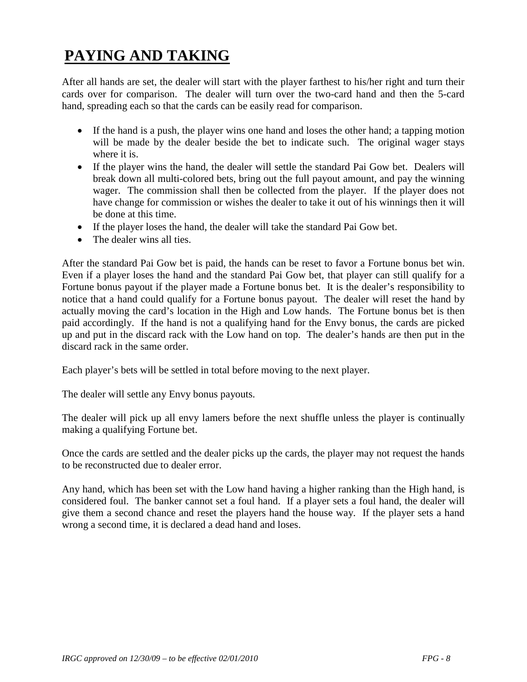## **PAYING AND TAKING**

After all hands are set, the dealer will start with the player farthest to his/her right and turn their cards over for comparison. The dealer will turn over the two-card hand and then the 5-card hand, spreading each so that the cards can be easily read for comparison.

- If the hand is a push, the player wins one hand and loses the other hand; a tapping motion will be made by the dealer beside the bet to indicate such. The original wager stays where it is.
- If the player wins the hand, the dealer will settle the standard Pai Gow bet. Dealers will break down all multi-colored bets, bring out the full payout amount, and pay the winning wager. The commission shall then be collected from the player. If the player does not have change for commission or wishes the dealer to take it out of his winnings then it will be done at this time.
- If the player loses the hand, the dealer will take the standard Pai Gow bet.
- The dealer wins all ties.

After the standard Pai Gow bet is paid, the hands can be reset to favor a Fortune bonus bet win. Even if a player loses the hand and the standard Pai Gow bet, that player can still qualify for a Fortune bonus payout if the player made a Fortune bonus bet. It is the dealer's responsibility to notice that a hand could qualify for a Fortune bonus payout. The dealer will reset the hand by actually moving the card's location in the High and Low hands. The Fortune bonus bet is then paid accordingly. If the hand is not a qualifying hand for the Envy bonus, the cards are picked up and put in the discard rack with the Low hand on top. The dealer's hands are then put in the discard rack in the same order.

Each player's bets will be settled in total before moving to the next player.

The dealer will settle any Envy bonus payouts.

The dealer will pick up all envy lamers before the next shuffle unless the player is continually making a qualifying Fortune bet.

Once the cards are settled and the dealer picks up the cards, the player may not request the hands to be reconstructed due to dealer error.

Any hand, which has been set with the Low hand having a higher ranking than the High hand, is considered foul. The banker cannot set a foul hand. If a player sets a foul hand, the dealer will give them a second chance and reset the players hand the house way. If the player sets a hand wrong a second time, it is declared a dead hand and loses.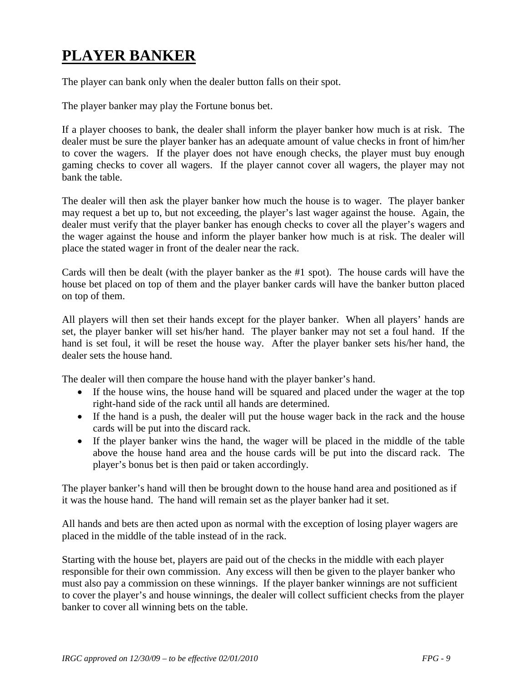## **PLAYER BANKER**

The player can bank only when the dealer button falls on their spot.

The player banker may play the Fortune bonus bet.

If a player chooses to bank, the dealer shall inform the player banker how much is at risk. The dealer must be sure the player banker has an adequate amount of value checks in front of him/her to cover the wagers. If the player does not have enough checks, the player must buy enough gaming checks to cover all wagers. If the player cannot cover all wagers, the player may not bank the table.

The dealer will then ask the player banker how much the house is to wager. The player banker may request a bet up to, but not exceeding, the player's last wager against the house. Again, the dealer must verify that the player banker has enough checks to cover all the player's wagers and the wager against the house and inform the player banker how much is at risk. The dealer will place the stated wager in front of the dealer near the rack.

Cards will then be dealt (with the player banker as the #1 spot). The house cards will have the house bet placed on top of them and the player banker cards will have the banker button placed on top of them.

All players will then set their hands except for the player banker. When all players' hands are set, the player banker will set his/her hand. The player banker may not set a foul hand. If the hand is set foul, it will be reset the house way. After the player banker sets his/her hand, the dealer sets the house hand.

The dealer will then compare the house hand with the player banker's hand.

- If the house wins, the house hand will be squared and placed under the wager at the top right-hand side of the rack until all hands are determined.
- If the hand is a push, the dealer will put the house wager back in the rack and the house cards will be put into the discard rack.
- If the player banker wins the hand, the wager will be placed in the middle of the table above the house hand area and the house cards will be put into the discard rack. The player's bonus bet is then paid or taken accordingly.

The player banker's hand will then be brought down to the house hand area and positioned as if it was the house hand. The hand will remain set as the player banker had it set.

All hands and bets are then acted upon as normal with the exception of losing player wagers are placed in the middle of the table instead of in the rack.

Starting with the house bet, players are paid out of the checks in the middle with each player responsible for their own commission. Any excess will then be given to the player banker who must also pay a commission on these winnings. If the player banker winnings are not sufficient to cover the player's and house winnings, the dealer will collect sufficient checks from the player banker to cover all winning bets on the table.